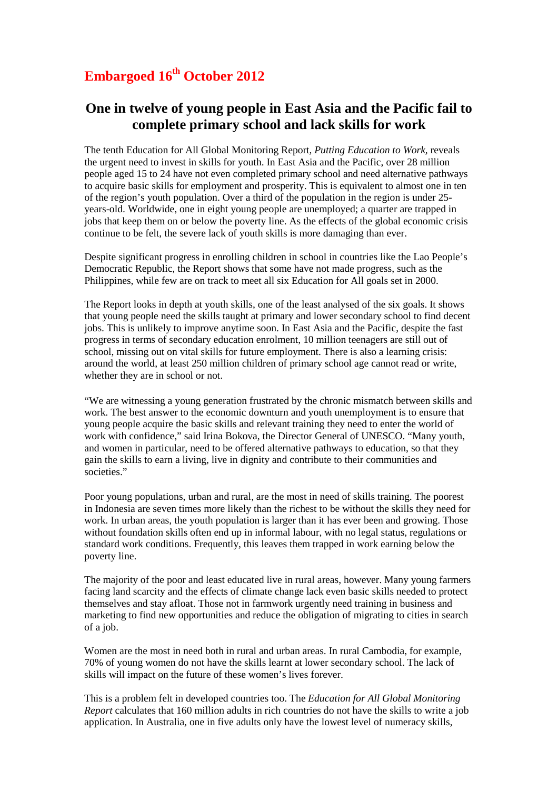## **Embargoed 16th October 2012**

## **One in twelve of young people in East Asia and the Pacific fail to complete primary school and lack skills for work**

The tenth Education for All Global Monitoring Report*, Putting Education to Work,* reveals the urgent need to invest in skills for youth. In East Asia and the Pacific, over 28 million people aged 15 to 24 have not even completed primary school and need alternative pathways to acquire basic skills for employment and prosperity. This is equivalent to almost one in ten of the region's youth population. Over a third of the population in the region is under 25 years-old. Worldwide, one in eight young people are unemployed; a quarter are trapped in jobs that keep them on or below the poverty line. As the effects of the global economic crisis continue to be felt, the severe lack of youth skills is more damaging than ever.

Despite significant progress in enrolling children in school in countries like the Lao People's Democratic Republic, the Report shows that some have not made progress, such as the Philippines, while few are on track to meet all six Education for All goals set in 2000.

The Report looks in depth at youth skills, one of the least analysed of the six goals. It shows that young people need the skills taught at primary and lower secondary school to find decent jobs. This is unlikely to improve anytime soon. In East Asia and the Pacific, despite the fast progress in terms of secondary education enrolment, 10 million teenagers are still out of school, missing out on vital skills for future employment. There is also a learning crisis: around the world, at least 250 million children of primary school age cannot read or write, whether they are in school or not.

"We are witnessing a young generation frustrated by the chronic mismatch between skills and work. The best answer to the economic downturn and youth unemployment is to ensure that young people acquire the basic skills and relevant training they need to enter the world of work with confidence," said Irina Bokova, the Director General of UNESCO. "Many youth, and women in particular, need to be offered alternative pathways to education, so that they gain the skills to earn a living, live in dignity and contribute to their communities and societies."

Poor young populations, urban and rural, are the most in need of skills training. The poorest in Indonesia are seven times more likely than the richest to be without the skills they need for work. In urban areas, the youth population is larger than it has ever been and growing. Those without foundation skills often end up in informal labour, with no legal status, regulations or standard work conditions. Frequently, this leaves them trapped in work earning below the poverty line.

The majority of the poor and least educated live in rural areas, however. Many young farmers facing land scarcity and the effects of climate change lack even basic skills needed to protect themselves and stay afloat. Those not in farmwork urgently need training in business and marketing to find new opportunities and reduce the obligation of migrating to cities in search of a job.

Women are the most in need both in rural and urban areas. In rural Cambodia, for example, 70% of young women do not have the skills learnt at lower secondary school. The lack of skills will impact on the future of these women's lives forever.

This is a problem felt in developed countries too. The *Education for All Global Monitoring Report* calculates that 160 million adults in rich countries do not have the skills to write a job application. In Australia, one in five adults only have the lowest level of numeracy skills,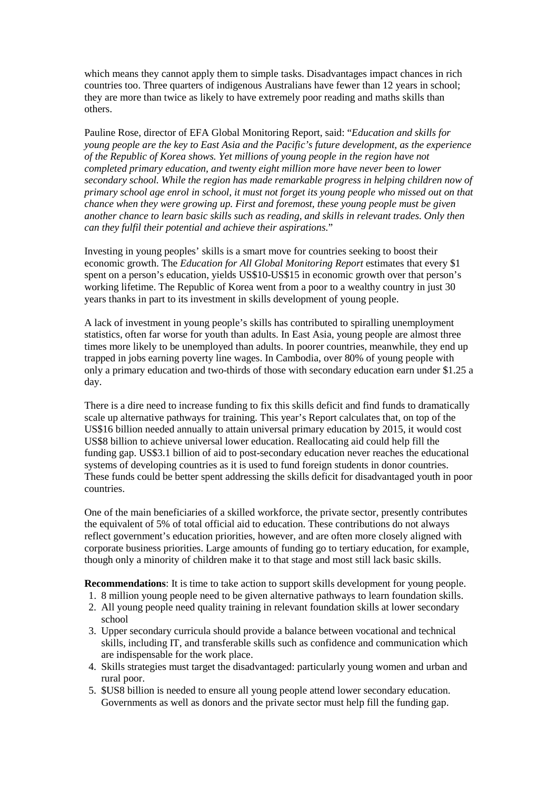which means they cannot apply them to simple tasks. Disadvantages impact chances in rich countries too. Three quarters of indigenous Australians have fewer than 12 years in school; they are more than twice as likely to have extremely poor reading and maths skills than others.

Pauline Rose, director of EFA Global Monitoring Report, said: "*Education and skills for young people are the key to East Asia and the Pacific's future development, as the experience of the Republic of Korea shows. Yet millions of young people in the region have not completed primary education, and twenty eight million more have never been to lower secondary school. While the region has made remarkable progress in helping children now of primary school age enrol in school, it must not forget its young people who missed out on that chance when they were growing up. First and foremost, these young people must be given another chance to learn basic skills such as reading, and skills in relevant trades. Only then can they fulfil their potential and achieve their aspirations.*"

Investing in young peoples' skills is a smart move for countries seeking to boost their economic growth. The *Education for All Global Monitoring Report* estimates that every \$1 spent on a person's education, yields US\$10-US\$15 in economic growth over that person's working lifetime. The Republic of Korea went from a poor to a wealthy country in just 30 years thanks in part to its investment in skills development of young people.

A lack of investment in young people's skills has contributed to spiralling unemployment statistics, often far worse for youth than adults. In East Asia, young people are almost three times more likely to be unemployed than adults. In poorer countries, meanwhile, they end up trapped in jobs earning poverty line wages. In Cambodia, over 80% of young people with only a primary education and two-thirds of those with secondary education earn under \$1.25 a day.

There is a dire need to increase funding to fix this skills deficit and find funds to dramatically scale up alternative pathways for training. This year's Report calculates that, on top of the US\$16 billion needed annually to attain universal primary education by 2015, it would cost US\$8 billion to achieve universal lower education. Reallocating aid could help fill the funding gap. US\$3.1 billion of aid to post-secondary education never reaches the educational systems of developing countries as it is used to fund foreign students in donor countries. These funds could be better spent addressing the skills deficit for disadvantaged youth in poor countries.

One of the main beneficiaries of a skilled workforce, the private sector, presently contributes the equivalent of 5% of total official aid to education. These contributions do not always reflect government's education priorities, however, and are often more closely aligned with corporate business priorities. Large amounts of funding go to tertiary education, for example, though only a minority of children make it to that stage and most still lack basic skills.

**Recommendations**: It is time to take action to support skills development for young people.

- 1. 8 million young people need to be given alternative pathways to learn foundation skills.
- 2. All young people need quality training in relevant foundation skills at lower secondary school
- 3. Upper secondary curricula should provide a balance between vocational and technical skills, including IT, and transferable skills such as confidence and communication which are indispensable for the work place.
- 4. Skills strategies must target the disadvantaged: particularly young women and urban and rural poor.
- 5. \$US8 billion is needed to ensure all young people attend lower secondary education. Governments as well as donors and the private sector must help fill the funding gap.